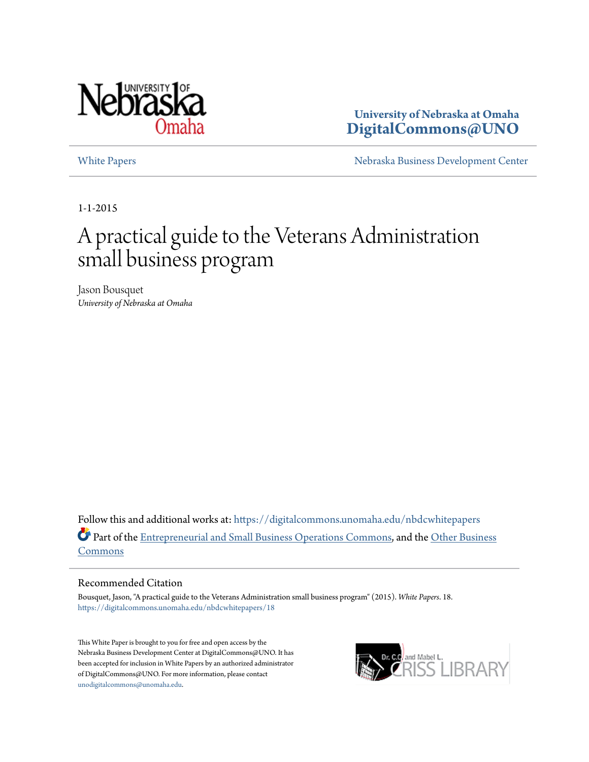

**University of Nebraska at Omaha [DigitalCommons@UNO](https://digitalcommons.unomaha.edu?utm_source=digitalcommons.unomaha.edu%2Fnbdcwhitepapers%2F18&utm_medium=PDF&utm_campaign=PDFCoverPages)**

[White Papers](https://digitalcommons.unomaha.edu/nbdcwhitepapers?utm_source=digitalcommons.unomaha.edu%2Fnbdcwhitepapers%2F18&utm_medium=PDF&utm_campaign=PDFCoverPages) **[Nebraska Business Development Center](https://digitalcommons.unomaha.edu/nbdc?utm_source=digitalcommons.unomaha.edu%2Fnbdcwhitepapers%2F18&utm_medium=PDF&utm_campaign=PDFCoverPages)** 

1-1-2015

# A practical guide to the Veterans Administration small business program

Jason Bousquet *University of Nebraska at Omaha*

Follow this and additional works at: [https://digitalcommons.unomaha.edu/nbdcwhitepapers](https://digitalcommons.unomaha.edu/nbdcwhitepapers?utm_source=digitalcommons.unomaha.edu%2Fnbdcwhitepapers%2F18&utm_medium=PDF&utm_campaign=PDFCoverPages) Part of the [Entrepreneurial and Small Business Operations Commons](http://network.bepress.com/hgg/discipline/630?utm_source=digitalcommons.unomaha.edu%2Fnbdcwhitepapers%2F18&utm_medium=PDF&utm_campaign=PDFCoverPages), and the [Other Business](http://network.bepress.com/hgg/discipline/647?utm_source=digitalcommons.unomaha.edu%2Fnbdcwhitepapers%2F18&utm_medium=PDF&utm_campaign=PDFCoverPages) [Commons](http://network.bepress.com/hgg/discipline/647?utm_source=digitalcommons.unomaha.edu%2Fnbdcwhitepapers%2F18&utm_medium=PDF&utm_campaign=PDFCoverPages)

#### Recommended Citation

Bousquet, Jason, "A practical guide to the Veterans Administration small business program" (2015). *White Papers*. 18. [https://digitalcommons.unomaha.edu/nbdcwhitepapers/18](https://digitalcommons.unomaha.edu/nbdcwhitepapers/18?utm_source=digitalcommons.unomaha.edu%2Fnbdcwhitepapers%2F18&utm_medium=PDF&utm_campaign=PDFCoverPages)

This White Paper is brought to you for free and open access by the Nebraska Business Development Center at DigitalCommons@UNO. It has been accepted for inclusion in White Papers by an authorized administrator of DigitalCommons@UNO. For more information, please contact [unodigitalcommons@unomaha.edu](mailto:unodigitalcommons@unomaha.edu).

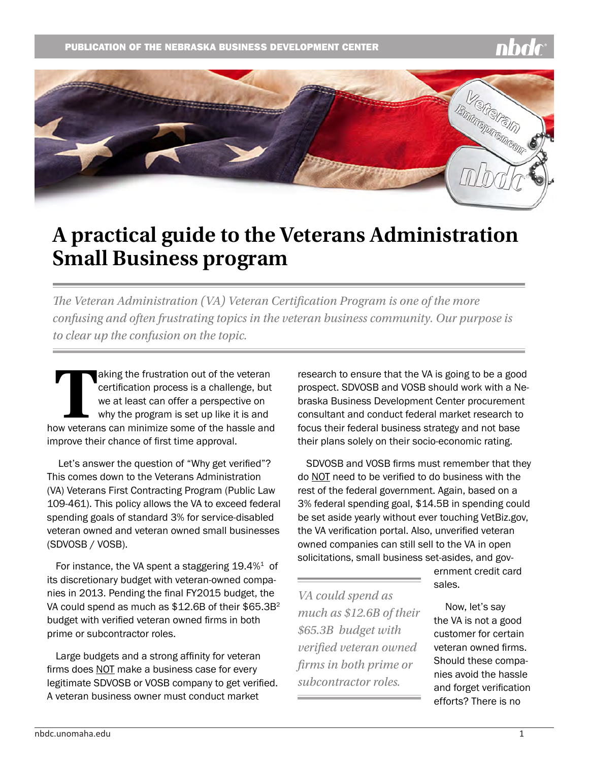

## **A practical guide to the Veterans Administration Small Business program**

*The Veteran Administration (VA) Veteran Certification Program is one of the more confusing and often frustrating topics in the veteran business community. Our purpose is to clear up the confusion on the topic.*

Taking the frustration out of the veteran certification process is a challenge, but we at least can offer a perspective on why the program is set up like it is and how veterans can minimize some of the hassle and certification process is a challenge, but we at least can offer a perspective on why the program is set up like it is and improve their chance of first time approval.

 Let's answer the question of "Why get verified"? This comes down to the Veterans Administration (VA) Veterans First Contracting Program (Public Law 109-461). This policy allows the VA to exceed federal spending goals of standard 3% for service-disabled veteran owned and veteran owned small businesses (SDVOSB / VOSB).

For instance, the VA spent a staggering  $19.4\%$ <sup>1</sup> of its discretionary budget with veteran-owned companies in 2013. Pending the final FY2015 budget, the VA could spend as much as \$12.6B of their \$65.3B<sup>2</sup> budget with verified veteran owned firms in both prime or subcontractor roles.

Large budgets and a strong affinity for veteran firms does NOT make a business case for every legitimate SDVOSB or VOSB company to get verified. A veteran business owner must conduct market

research to ensure that the VA is going to be a good prospect. SDVOSB and VOSB should work with a Nebraska Business Development Center procurement consultant and conduct federal market research to focus their federal business strategy and not base their plans solely on their socio-economic rating.

SDVOSB and VOSB firms must remember that they do NOT need to be verified to do business with the rest of the federal government. Again, based on a 3% federal spending goal, \$14.5B in spending could be set aside yearly without ever touching VetBiz.gov, the VA verification portal. Also, unverified veteran owned companies can still sell to the VA in open solicitations, small business set-asides, and gov-

*VA could spend as much as \$12.6B of their \$65.3B budget with verified veteran owned firms in both prime or subcontractor roles.* 

ernment credit card sales.

 Now, let's say the VA is not a good customer for certain veteran owned firms. Should these companies avoid the hassle and forget verification efforts? There is no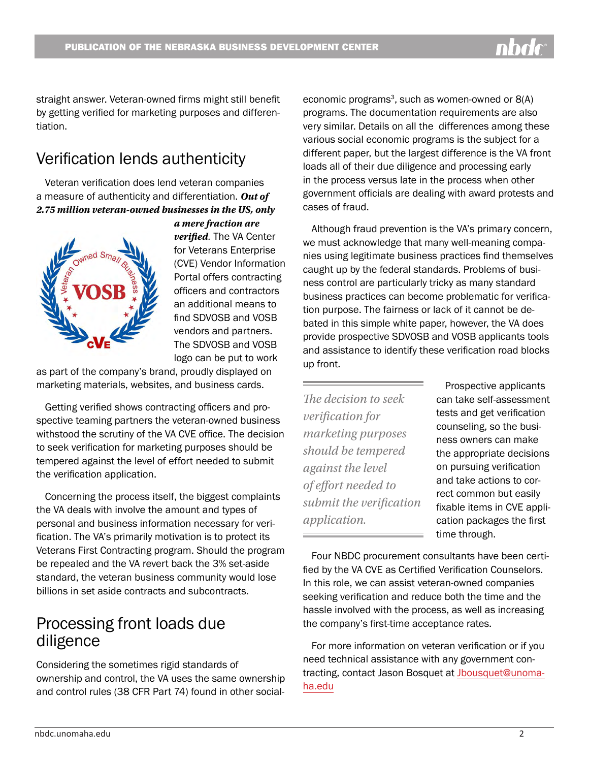straight answer. Veteran-owned firms might still benefit by getting verified for marketing purposes and differentiation.

## Verification lends authenticity

Veteran verification does lend veteran companies a measure of authenticity and differentiation. *Out of 2.75 million veteran-owned businesses in the US, only* 



*a mere fraction are verified.* The VA Center for Veterans Enterprise (CVE) Vendor Information Portal offers contracting officers and contractors an additional means to find SDVOSB and VOSB vendors and partners. The SDVOSB and VOSB logo can be put to work

as part of the company's brand, proudly displayed on marketing materials, websites, and business cards.

Getting verified shows contracting officers and prospective teaming partners the veteran-owned business withstood the scrutiny of the VA CVE office. The decision to seek verification for marketing purposes should be tempered against the level of effort needed to submit the verification application.

Concerning the process itself, the biggest complaints the VA deals with involve the amount and types of personal and business information necessary for verification. The VA's primarily motivation is to protect its Veterans First Contracting program. Should the program be repealed and the VA revert back the 3% set-aside standard, the veteran business community would lose billions in set aside contracts and subcontracts.

## Processing front loads due diligence

Considering the sometimes rigid standards of ownership and control, the VA uses the same ownership and control rules (38 CFR Part 74) found in other socialeconomic programs<sup>3</sup>, such as women-owned or  $8(A)$ programs. The documentation requirements are also very similar. Details on all the differences among these various social economic programs is the subject for a different paper, but the largest difference is the VA front loads all of their due diligence and processing early in the process versus late in the process when other government officials are dealing with award protests and cases of fraud.

Although fraud prevention is the VA's primary concern, we must acknowledge that many well-meaning companies using legitimate business practices find themselves caught up by the federal standards. Problems of business control are particularly tricky as many standard business practices can become problematic for verification purpose. The fairness or lack of it cannot be debated in this simple white paper, however, the VA does provide prospective SDVOSB and VOSB applicants tools and assistance to identify these verification road blocks up front.

*The decision to seek verification for marketing purposes should be tempered against the level of effort needed to submit the verification application.*

Prospective applicants can take self-assessment tests and get verification counseling, so the business owners can make the appropriate decisions on pursuing verification and take actions to correct common but easily fixable items in CVE application packages the first time through.

Four NBDC procurement consultants have been certified by the VA CVE as Certified Verification Counselors. In this role, we can assist veteran-owned companies seeking verification and reduce both the time and the hassle involved with the process, as well as increasing the company's first-time acceptance rates.

For more information on veteran verification or if you need technical assistance with any government contracting, contact Jason Bosquet at [Jbousquet@unoma](mailto:jbousquet%40unomaha.edu)[ha.edu](mailto:jbousquet%40unomaha.edu)